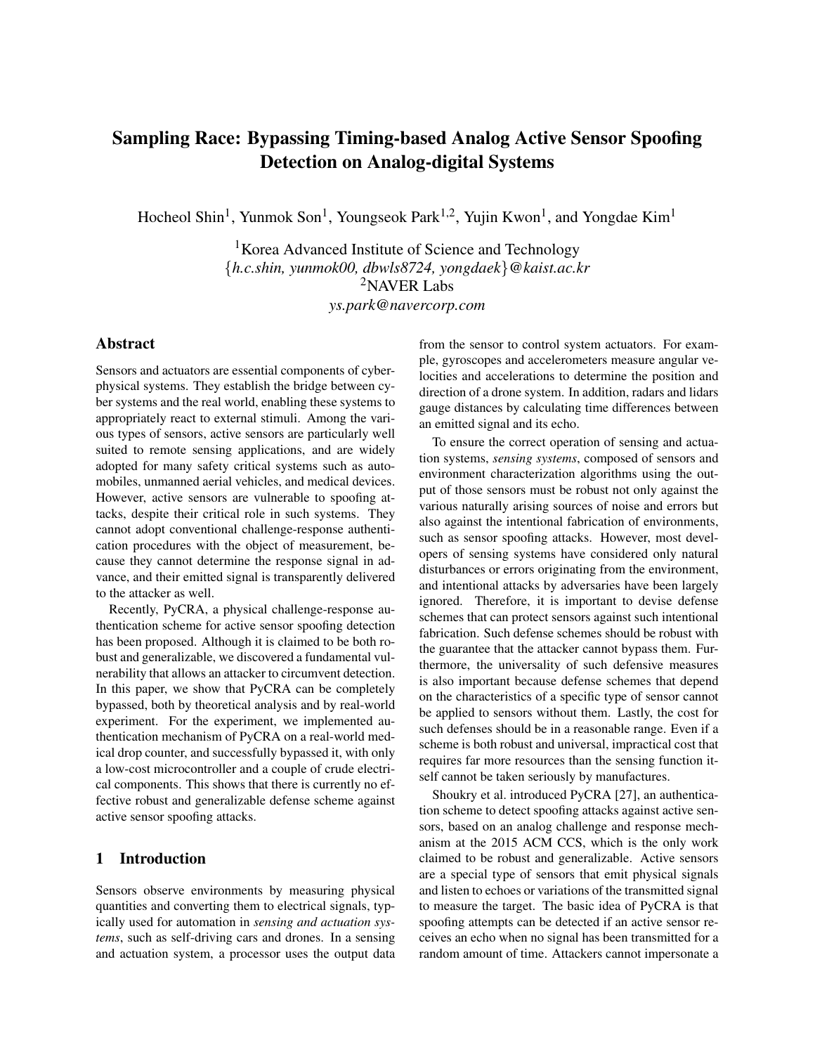# Sampling Race: Bypassing Timing-based Analog Active Sensor Spoofing Detection on Analog-digital Systems

Hocheol Shin<sup>1</sup>, Yunmok Son<sup>1</sup>, Youngseok Park<sup>1,2</sup>, Yujin Kwon<sup>1</sup>, and Yongdae Kim<sup>1</sup>

<sup>1</sup>Korea Advanced Institute of Science and Technology {*h.c.shin, yunmok00, dbwls8724, yongdaek*}*@kaist.ac.kr* <sup>2</sup>NAVER Labs *ys.park@navercorp.com*

# Abstract

Sensors and actuators are essential components of cyberphysical systems. They establish the bridge between cyber systems and the real world, enabling these systems to appropriately react to external stimuli. Among the various types of sensors, active sensors are particularly well suited to remote sensing applications, and are widely adopted for many safety critical systems such as automobiles, unmanned aerial vehicles, and medical devices. However, active sensors are vulnerable to spoofing attacks, despite their critical role in such systems. They cannot adopt conventional challenge-response authentication procedures with the object of measurement, because they cannot determine the response signal in advance, and their emitted signal is transparently delivered to the attacker as well.

Recently, PyCRA, a physical challenge-response authentication scheme for active sensor spoofing detection has been proposed. Although it is claimed to be both robust and generalizable, we discovered a fundamental vulnerability that allows an attacker to circumvent detection. In this paper, we show that PyCRA can be completely bypassed, both by theoretical analysis and by real-world experiment. For the experiment, we implemented authentication mechanism of PyCRA on a real-world medical drop counter, and successfully bypassed it, with only a low-cost microcontroller and a couple of crude electrical components. This shows that there is currently no effective robust and generalizable defense scheme against active sensor spoofing attacks.

## 1 Introduction

Sensors observe environments by measuring physical quantities and converting them to electrical signals, typically used for automation in *sensing and actuation systems*, such as self-driving cars and drones. In a sensing and actuation system, a processor uses the output data from the sensor to control system actuators. For example, gyroscopes and accelerometers measure angular velocities and accelerations to determine the position and direction of a drone system. In addition, radars and lidars gauge distances by calculating time differences between an emitted signal and its echo.

To ensure the correct operation of sensing and actuation systems, *sensing systems*, composed of sensors and environment characterization algorithms using the output of those sensors must be robust not only against the various naturally arising sources of noise and errors but also against the intentional fabrication of environments, such as sensor spoofing attacks. However, most developers of sensing systems have considered only natural disturbances or errors originating from the environment, and intentional attacks by adversaries have been largely ignored. Therefore, it is important to devise defense schemes that can protect sensors against such intentional fabrication. Such defense schemes should be robust with the guarantee that the attacker cannot bypass them. Furthermore, the universality of such defensive measures is also important because defense schemes that depend on the characteristics of a specific type of sensor cannot be applied to sensors without them. Lastly, the cost for such defenses should be in a reasonable range. Even if a scheme is both robust and universal, impractical cost that requires far more resources than the sensing function itself cannot be taken seriously by manufactures.

Shoukry et al. introduced PyCRA [27], an authentication scheme to detect spoofing attacks against active sensors, based on an analog challenge and response mechanism at the 2015 ACM CCS, which is the only work claimed to be robust and generalizable. Active sensors are a special type of sensors that emit physical signals and listen to echoes or variations of the transmitted signal to measure the target. The basic idea of PyCRA is that spoofing attempts can be detected if an active sensor receives an echo when no signal has been transmitted for a random amount of time. Attackers cannot impersonate a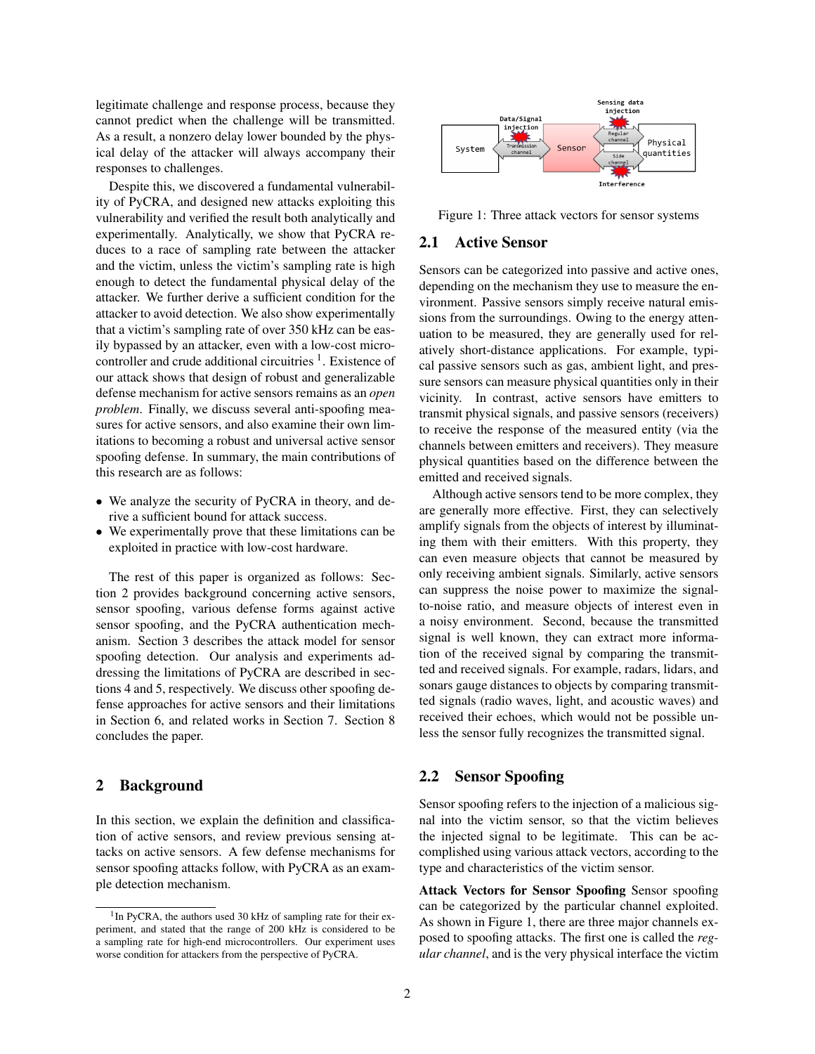legitimate challenge and response process, because they cannot predict when the challenge will be transmitted. As a result, a nonzero delay lower bounded by the physical delay of the attacker will always accompany their responses to challenges.

Despite this, we discovered a fundamental vulnerability of PyCRA, and designed new attacks exploiting this vulnerability and verified the result both analytically and experimentally. Analytically, we show that PyCRA reduces to a race of sampling rate between the attacker and the victim, unless the victim's sampling rate is high enough to detect the fundamental physical delay of the attacker. We further derive a sufficient condition for the attacker to avoid detection. We also show experimentally that a victim's sampling rate of over 350 kHz can be easily bypassed by an attacker, even with a low-cost microcontroller and crude additional circuitries  $<sup>1</sup>$ . Existence of</sup> our attack shows that design of robust and generalizable defense mechanism for active sensors remains as an *open problem*. Finally, we discuss several anti-spoofing measures for active sensors, and also examine their own limitations to becoming a robust and universal active sensor spoofing defense. In summary, the main contributions of this research are as follows:

- We analyze the security of PyCRA in theory, and derive a sufficient bound for attack success.
- We experimentally prove that these limitations can be exploited in practice with low-cost hardware.

The rest of this paper is organized as follows: Section 2 provides background concerning active sensors, sensor spoofing, various defense forms against active sensor spoofing, and the PyCRA authentication mechanism. Section 3 describes the attack model for sensor spoofing detection. Our analysis and experiments addressing the limitations of PyCRA are described in sections 4 and 5, respectively. We discuss other spoofing defense approaches for active sensors and their limitations in Section 6, and related works in Section 7. Section 8 concludes the paper.

## 2 Background

In this section, we explain the definition and classification of active sensors, and review previous sensing attacks on active sensors. A few defense mechanisms for sensor spoofing attacks follow, with PyCRA as an example detection mechanism.



Figure 1: Three attack vectors for sensor systems

### 2.1 Active Sensor

Sensors can be categorized into passive and active ones, depending on the mechanism they use to measure the environment. Passive sensors simply receive natural emissions from the surroundings. Owing to the energy attenuation to be measured, they are generally used for relatively short-distance applications. For example, typical passive sensors such as gas, ambient light, and pressure sensors can measure physical quantities only in their vicinity. In contrast, active sensors have emitters to transmit physical signals, and passive sensors (receivers) to receive the response of the measured entity (via the channels between emitters and receivers). They measure physical quantities based on the difference between the emitted and received signals.

Although active sensors tend to be more complex, they are generally more effective. First, they can selectively amplify signals from the objects of interest by illuminating them with their emitters. With this property, they can even measure objects that cannot be measured by only receiving ambient signals. Similarly, active sensors can suppress the noise power to maximize the signalto-noise ratio, and measure objects of interest even in a noisy environment. Second, because the transmitted signal is well known, they can extract more information of the received signal by comparing the transmitted and received signals. For example, radars, lidars, and sonars gauge distances to objects by comparing transmitted signals (radio waves, light, and acoustic waves) and received their echoes, which would not be possible unless the sensor fully recognizes the transmitted signal.

## 2.2 Sensor Spoofing

Sensor spoofing refers to the injection of a malicious signal into the victim sensor, so that the victim believes the injected signal to be legitimate. This can be accomplished using various attack vectors, according to the type and characteristics of the victim sensor.

Attack Vectors for Sensor Spoofing Sensor spoofing can be categorized by the particular channel exploited. As shown in Figure 1, there are three major channels exposed to spoofing attacks. The first one is called the *regular channel*, and is the very physical interface the victim

<sup>&</sup>lt;sup>1</sup>In PyCRA, the authors used 30 kHz of sampling rate for their experiment, and stated that the range of 200 kHz is considered to be a sampling rate for high-end microcontrollers. Our experiment uses worse condition for attackers from the perspective of PyCRA.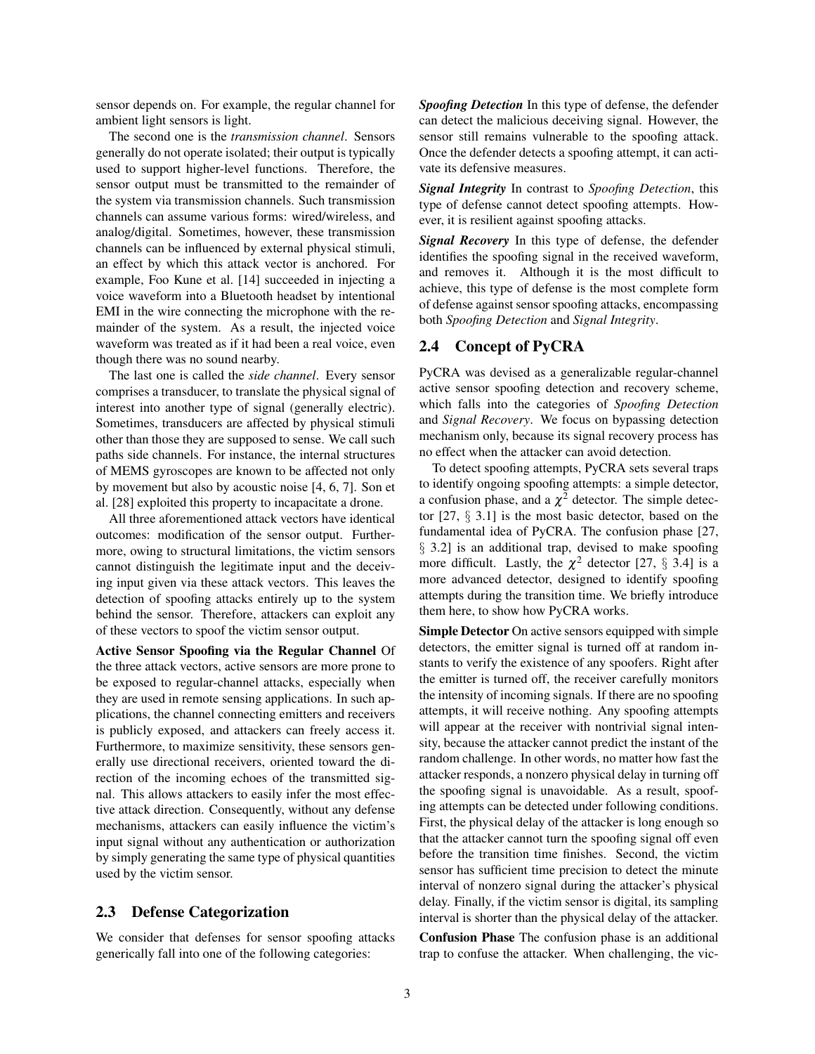sensor depends on. For example, the regular channel for ambient light sensors is light.

The second one is the *transmission channel*. Sensors generally do not operate isolated; their output is typically used to support higher-level functions. Therefore, the sensor output must be transmitted to the remainder of the system via transmission channels. Such transmission channels can assume various forms: wired/wireless, and analog/digital. Sometimes, however, these transmission channels can be influenced by external physical stimuli, an effect by which this attack vector is anchored. For example, Foo Kune et al. [14] succeeded in injecting a voice waveform into a Bluetooth headset by intentional EMI in the wire connecting the microphone with the remainder of the system. As a result, the injected voice waveform was treated as if it had been a real voice, even though there was no sound nearby.

The last one is called the *side channel*. Every sensor comprises a transducer, to translate the physical signal of interest into another type of signal (generally electric). Sometimes, transducers are affected by physical stimuli other than those they are supposed to sense. We call such paths side channels. For instance, the internal structures of MEMS gyroscopes are known to be affected not only by movement but also by acoustic noise [4, 6, 7]. Son et al. [28] exploited this property to incapacitate a drone.

All three aforementioned attack vectors have identical outcomes: modification of the sensor output. Furthermore, owing to structural limitations, the victim sensors cannot distinguish the legitimate input and the deceiving input given via these attack vectors. This leaves the detection of spoofing attacks entirely up to the system behind the sensor. Therefore, attackers can exploit any of these vectors to spoof the victim sensor output.

Active Sensor Spoofing via the Regular Channel Of the three attack vectors, active sensors are more prone to be exposed to regular-channel attacks, especially when they are used in remote sensing applications. In such applications, the channel connecting emitters and receivers is publicly exposed, and attackers can freely access it. Furthermore, to maximize sensitivity, these sensors generally use directional receivers, oriented toward the direction of the incoming echoes of the transmitted signal. This allows attackers to easily infer the most effective attack direction. Consequently, without any defense mechanisms, attackers can easily influence the victim's input signal without any authentication or authorization by simply generating the same type of physical quantities used by the victim sensor.

# 2.3 Defense Categorization

We consider that defenses for sensor spoofing attacks generically fall into one of the following categories:

*Spoofing Detection* In this type of defense, the defender can detect the malicious deceiving signal. However, the sensor still remains vulnerable to the spoofing attack. Once the defender detects a spoofing attempt, it can activate its defensive measures.

*Signal Integrity* In contrast to *Spoofing Detection*, this type of defense cannot detect spoofing attempts. However, it is resilient against spoofing attacks.

*Signal Recovery* In this type of defense, the defender identifies the spoofing signal in the received waveform, and removes it. Although it is the most difficult to achieve, this type of defense is the most complete form of defense against sensor spoofing attacks, encompassing both *Spoofing Detection* and *Signal Integrity*.

### 2.4 Concept of PyCRA

PyCRA was devised as a generalizable regular-channel active sensor spoofing detection and recovery scheme, which falls into the categories of *Spoofing Detection* and *Signal Recovery*. We focus on bypassing detection mechanism only, because its signal recovery process has no effect when the attacker can avoid detection.

To detect spoofing attempts, PyCRA sets several traps to identify ongoing spoofing attempts: a simple detector, a confusion phase, and a  $\chi^2$  detector. The simple detector [27, § 3.1] is the most basic detector, based on the fundamental idea of PyCRA. The confusion phase [27, § 3.2] is an additional trap, devised to make spoofing more difficult. Lastly, the  $\chi^2$  detector [27, § 3.4] is a more advanced detector, designed to identify spoofing attempts during the transition time. We briefly introduce them here, to show how PyCRA works.

Simple Detector On active sensors equipped with simple detectors, the emitter signal is turned off at random instants to verify the existence of any spoofers. Right after the emitter is turned off, the receiver carefully monitors the intensity of incoming signals. If there are no spoofing attempts, it will receive nothing. Any spoofing attempts will appear at the receiver with nontrivial signal intensity, because the attacker cannot predict the instant of the random challenge. In other words, no matter how fast the attacker responds, a nonzero physical delay in turning off the spoofing signal is unavoidable. As a result, spoofing attempts can be detected under following conditions. First, the physical delay of the attacker is long enough so that the attacker cannot turn the spoofing signal off even before the transition time finishes. Second, the victim sensor has sufficient time precision to detect the minute interval of nonzero signal during the attacker's physical delay. Finally, if the victim sensor is digital, its sampling interval is shorter than the physical delay of the attacker.

Confusion Phase The confusion phase is an additional trap to confuse the attacker. When challenging, the vic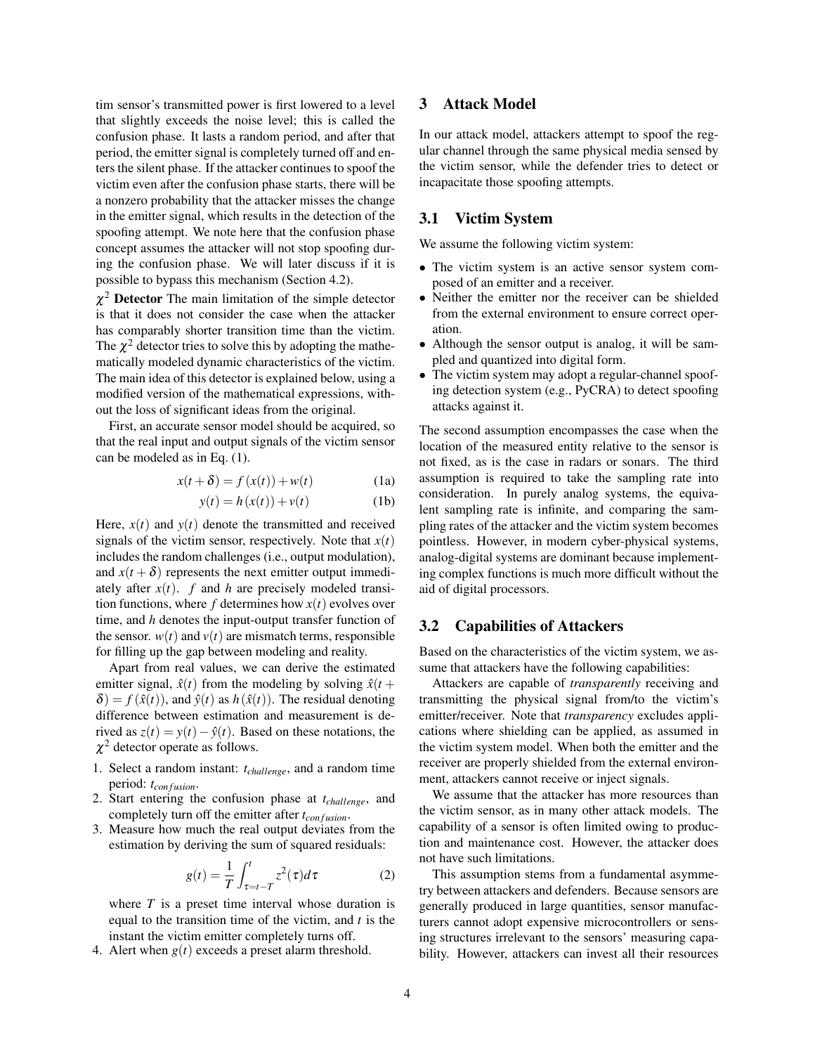tim sensor's transmitted power is first lowered to a level that slightly exceeds the noise level; this is called the confusion phase. It lasts a random period, and after that period, the emitter signal is completely turned off and enters the silent phase. If the attacker continues to spoof the victim even after the confusion phase starts, there will be a nonzero probability that the attacker misses the change in the emitter signal, which results in the detection of the spoofing attempt. We note here that the confusion phase concept assumes the attacker will not stop spoofing during the confusion phase. We will later discuss if it is possible to bypass this mechanism (Section 4.2).

 $\chi^2$  Detector The main limitation of the simple detector is that it does not consider the case when the attacker has comparably shorter transition time than the victim. The  $\chi^2$  detector tries to solve this by adopting the mathematically modeled dynamic characteristics of the victim. The main idea of this detector is explained below, using a modified version of the mathematical expressions, without the loss of significant ideas from the original.

First, an accurate sensor model should be acquired, so that the real input and output signals of the victim sensor can be modeled as in Eq. (1).

$$
x(t+\delta) = f(x(t)) + w(t)
$$
 (1a)

$$
y(t) = h(x(t)) + v(t)
$$
 (1b)

Here,  $x(t)$  and  $y(t)$  denote the transmitted and received signals of the victim sensor, respectively. Note that  $x(t)$ includes the random challenges (i.e., output modulation), and  $x(t + \delta)$  represents the next emitter output immediately after  $x(t)$ . *f* and *h* are precisely modeled transition functions, where  $f$  determines how  $x(t)$  evolves over time, and *h* denotes the input-output transfer function of the sensor.  $w(t)$  and  $v(t)$  are mismatch terms, responsible for filling up the gap between modeling and reality.

Apart from real values, we can derive the estimated emitter signal,  $\hat{x}(t)$  from the modeling by solving  $\hat{x}(t)$  +  $\delta$ ) =  $f(\hat{x}(t))$ , and  $\hat{y}(t)$  as  $h(\hat{x}(t))$ . The residual denoting difference between estimation and measurement is derived as  $z(t) = y(t) - \hat{y}(t)$ . Based on these notations, the  $\chi^2$  detector operate as follows.

- 1. Select a random instant: *tchallenge*, and a random time period:  $t_{configuration}$ .
- 2. Start entering the confusion phase at *tchallenge*, and completely turn off the emitter after  $t_{con fusion}$ .
- 3. Measure how much the real output deviates from the estimation by deriving the sum of squared residuals:

$$
g(t) = \frac{1}{T} \int_{\tau=t-T}^{t} z^2(\tau) d\tau
$$
 (2)

where *T* is a preset time interval whose duration is equal to the transition time of the victim, and *t* is the instant the victim emitter completely turns off.

4. Alert when *g*(*t*) exceeds a preset alarm threshold.

# 3 Attack Model

In our attack model, attackers attempt to spoof the regular channel through the same physical media sensed by the victim sensor, while the defender tries to detect or incapacitate those spoofing attempts.

# 3.1 Victim System

We assume the following victim system:

- The victim system is an active sensor system composed of an emitter and a receiver.
- Neither the emitter nor the receiver can be shielded from the external environment to ensure correct operation.
- Although the sensor output is analog, it will be sampled and quantized into digital form.
- The victim system may adopt a regular-channel spoofing detection system (e.g., PyCRA) to detect spoofing attacks against it.

The second assumption encompasses the case when the location of the measured entity relative to the sensor is not fixed, as is the case in radars or sonars. The third assumption is required to take the sampling rate into consideration. In purely analog systems, the equivalent sampling rate is infinite, and comparing the sampling rates of the attacker and the victim system becomes pointless. However, in modern cyber-physical systems, analog-digital systems are dominant because implementing complex functions is much more difficult without the aid of digital processors.

### 3.2 Capabilities of Attackers

Based on the characteristics of the victim system, we assume that attackers have the following capabilities:

Attackers are capable of *transparently* receiving and transmitting the physical signal from/to the victim's emitter/receiver. Note that *transparency* excludes applications where shielding can be applied, as assumed in the victim system model. When both the emitter and the receiver are properly shielded from the external environment, attackers cannot receive or inject signals.

We assume that the attacker has more resources than the victim sensor, as in many other attack models. The capability of a sensor is often limited owing to production and maintenance cost. However, the attacker does not have such limitations.

This assumption stems from a fundamental asymmetry between attackers and defenders. Because sensors are generally produced in large quantities, sensor manufacturers cannot adopt expensive microcontrollers or sensing structures irrelevant to the sensors' measuring capability. However, attackers can invest all their resources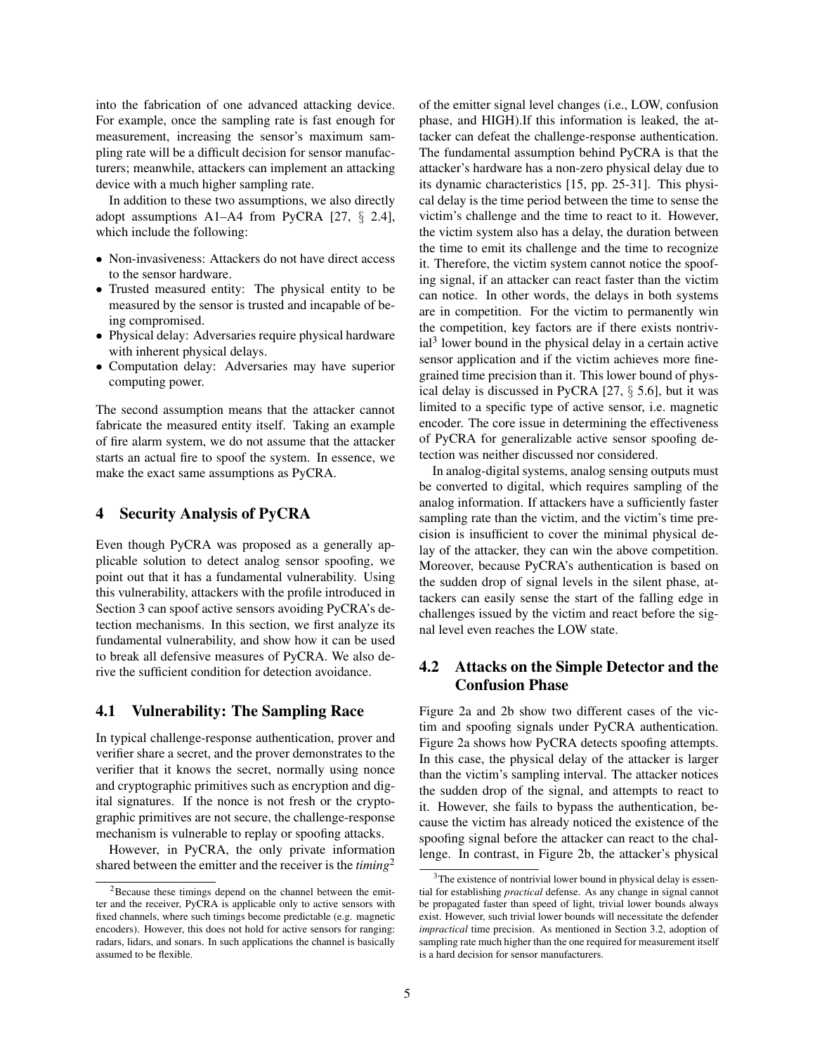into the fabrication of one advanced attacking device. For example, once the sampling rate is fast enough for measurement, increasing the sensor's maximum sampling rate will be a difficult decision for sensor manufacturers; meanwhile, attackers can implement an attacking device with a much higher sampling rate.

In addition to these two assumptions, we also directly adopt assumptions A1–A4 from PyCRA [27, § 2.4], which include the following:

- Non-invasiveness: Attackers do not have direct access to the sensor hardware.
- Trusted measured entity: The physical entity to be measured by the sensor is trusted and incapable of being compromised.
- Physical delay: Adversaries require physical hardware with inherent physical delays.
- Computation delay: Adversaries may have superior computing power.

The second assumption means that the attacker cannot fabricate the measured entity itself. Taking an example of fire alarm system, we do not assume that the attacker starts an actual fire to spoof the system. In essence, we make the exact same assumptions as PyCRA.

### 4 Security Analysis of PyCRA

Even though PyCRA was proposed as a generally applicable solution to detect analog sensor spoofing, we point out that it has a fundamental vulnerability. Using this vulnerability, attackers with the profile introduced in Section 3 can spoof active sensors avoiding PyCRA's detection mechanisms. In this section, we first analyze its fundamental vulnerability, and show how it can be used to break all defensive measures of PyCRA. We also derive the sufficient condition for detection avoidance.

### 4.1 Vulnerability: The Sampling Race

In typical challenge-response authentication, prover and verifier share a secret, and the prover demonstrates to the verifier that it knows the secret, normally using nonce and cryptographic primitives such as encryption and digital signatures. If the nonce is not fresh or the cryptographic primitives are not secure, the challenge-response mechanism is vulnerable to replay or spoofing attacks.

However, in PyCRA, the only private information shared between the emitter and the receiver is the *timing*<sup>2</sup> of the emitter signal level changes (i.e., LOW, confusion phase, and HIGH).If this information is leaked, the attacker can defeat the challenge-response authentication. The fundamental assumption behind PyCRA is that the attacker's hardware has a non-zero physical delay due to its dynamic characteristics [15, pp. 25-31]. This physical delay is the time period between the time to sense the victim's challenge and the time to react to it. However, the victim system also has a delay, the duration between the time to emit its challenge and the time to recognize it. Therefore, the victim system cannot notice the spoofing signal, if an attacker can react faster than the victim can notice. In other words, the delays in both systems are in competition. For the victim to permanently win the competition, key factors are if there exists nontrivial<sup>3</sup> lower bound in the physical delay in a certain active sensor application and if the victim achieves more finegrained time precision than it. This lower bound of physical delay is discussed in PyCRA [27, § 5.6], but it was limited to a specific type of active sensor, i.e. magnetic encoder. The core issue in determining the effectiveness of PyCRA for generalizable active sensor spoofing detection was neither discussed nor considered.

In analog-digital systems, analog sensing outputs must be converted to digital, which requires sampling of the analog information. If attackers have a sufficiently faster sampling rate than the victim, and the victim's time precision is insufficient to cover the minimal physical delay of the attacker, they can win the above competition. Moreover, because PyCRA's authentication is based on the sudden drop of signal levels in the silent phase, attackers can easily sense the start of the falling edge in challenges issued by the victim and react before the signal level even reaches the LOW state.

# 4.2 Attacks on the Simple Detector and the Confusion Phase

Figure 2a and 2b show two different cases of the victim and spoofing signals under PyCRA authentication. Figure 2a shows how PyCRA detects spoofing attempts. In this case, the physical delay of the attacker is larger than the victim's sampling interval. The attacker notices the sudden drop of the signal, and attempts to react to it. However, she fails to bypass the authentication, because the victim has already noticed the existence of the spoofing signal before the attacker can react to the challenge. In contrast, in Figure 2b, the attacker's physical

<sup>2</sup>Because these timings depend on the channel between the emitter and the receiver, PyCRA is applicable only to active sensors with fixed channels, where such timings become predictable (e.g. magnetic encoders). However, this does not hold for active sensors for ranging: radars, lidars, and sonars. In such applications the channel is basically assumed to be flexible.

 $3$ The existence of nontrivial lower bound in physical delay is essential for establishing *practical* defense. As any change in signal cannot be propagated faster than speed of light, trivial lower bounds always exist. However, such trivial lower bounds will necessitate the defender *impractical* time precision. As mentioned in Section 3.2, adoption of sampling rate much higher than the one required for measurement itself is a hard decision for sensor manufacturers.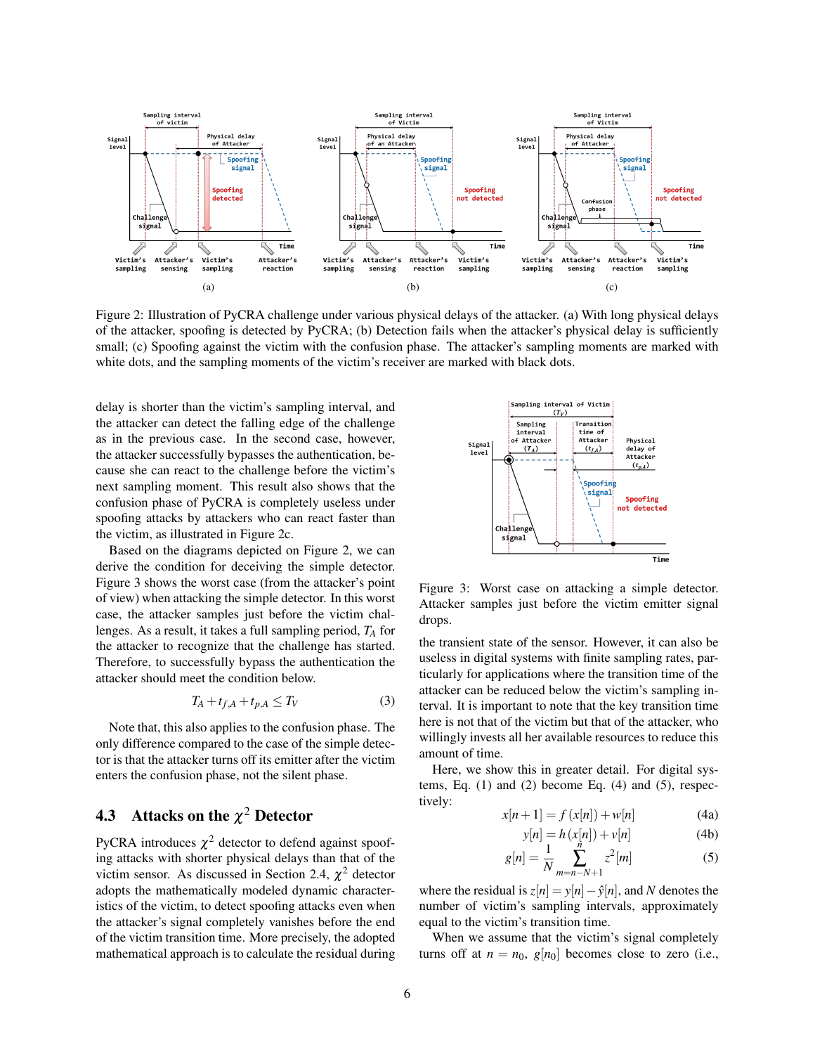

Figure 2: Illustration of PyCRA challenge under various physical delays of the attacker. (a) With long physical delays of the attacker, spoofing is detected by PyCRA; (b) Detection fails when the attacker's physical delay is sufficiently small; (c) Spoofing against the victim with the confusion phase. The attacker's sampling moments are marked with white dots, and the sampling moments of the victim's receiver are marked with black dots.

delay is shorter than the victim's sampling interval, and the attacker can detect the falling edge of the challenge as in the previous case. In the second case, however, the attacker successfully bypasses the authentication, because she can react to the challenge before the victim's next sampling moment. This result also shows that the confusion phase of PyCRA is completely useless under spoofing attacks by attackers who can react faster than the victim, as illustrated in Figure 2c.

Based on the diagrams depicted on Figure 2, we can derive the condition for deceiving the simple detector. Figure 3 shows the worst case (from the attacker's point of view) when attacking the simple detector. In this worst case, the attacker samples just before the victim challenges. As a result, it takes a full sampling period, *T<sup>A</sup>* for the attacker to recognize that the challenge has started. Therefore, to successfully bypass the authentication the attacker should meet the condition below.

$$
T_A + t_{f,A} + t_{p,A} \le T_V \tag{3}
$$

Note that, this also applies to the confusion phase. The only difference compared to the case of the simple detector is that the attacker turns off its emitter after the victim enters the confusion phase, not the silent phase.

# **4.3** Attacks on the  $\chi^2$  Detector

PyCRA introduces  $\chi^2$  detector to defend against spoofing attacks with shorter physical delays than that of the victim sensor. As discussed in Section 2.4,  $\chi^2$  detector adopts the mathematically modeled dynamic characteristics of the victim, to detect spoofing attacks even when the attacker's signal completely vanishes before the end of the victim transition time. More precisely, the adopted mathematical approach is to calculate the residual during



Figure 3: Worst case on attacking a simple detector. Attacker samples just before the victim emitter signal drops.

the transient state of the sensor. However, it can also be useless in digital systems with finite sampling rates, particularly for applications where the transition time of the attacker can be reduced below the victim's sampling interval. It is important to note that the key transition time here is not that of the victim but that of the attacker, who willingly invests all her available resources to reduce this amount of time.

Here, we show this in greater detail. For digital systems, Eq.  $(1)$  and  $(2)$  become Eq.  $(4)$  and  $(5)$ , respectively:

$$
x[n+1] = f(x[n]) + w[n]
$$
 (4a)

$$
y[n] = h(x[n]) + v[n]
$$
\n(4b)

$$
g[n] = \frac{1}{N} \sum_{m=n-N+1}^{n} z^2[m]
$$
 (5)

where the residual is  $z[n] = y[n] - \hat{y}[n]$ , and *N* denotes the number of victim's sampling intervals, approximately equal to the victim's transition time.

When we assume that the victim's signal completely turns off at  $n = n_0$ ,  $g[n_0]$  becomes close to zero (i.e.,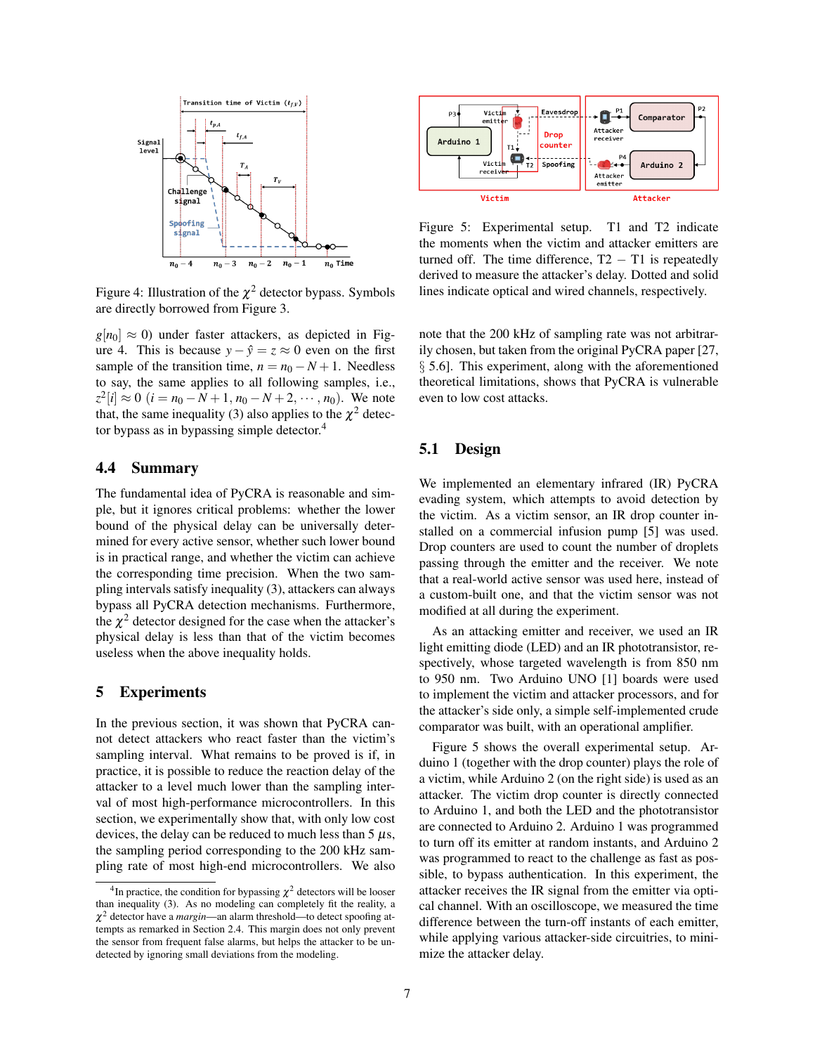

Figure 4: Illustration of the  $\chi^2$  detector bypass. Symbols are directly borrowed from Figure 3.

 $g[n_0] \approx 0$ ) under faster attackers, as depicted in Figure 4. This is because  $y - \hat{y} = z \approx 0$  even on the first sample of the transition time,  $n = n_0 - N + 1$ . Needless to say, the same applies to all following samples, i.e.,  $z^2[i] \approx 0$  (*i* = *n*<sub>0</sub> − *N* + 1, *n*<sub>0</sub> − *N* + 2, ···, *n*<sub>0</sub>). We note that, the same inequality (3) also applies to the  $\chi^2$  detector bypass as in bypassing simple detector.<sup>4</sup>

## 4.4 Summary

The fundamental idea of PyCRA is reasonable and simple, but it ignores critical problems: whether the lower bound of the physical delay can be universally determined for every active sensor, whether such lower bound is in practical range, and whether the victim can achieve the corresponding time precision. When the two sampling intervals satisfy inequality (3), attackers can always bypass all PyCRA detection mechanisms. Furthermore, the  $\chi^2$  detector designed for the case when the attacker's physical delay is less than that of the victim becomes useless when the above inequality holds.

### 5 Experiments

In the previous section, it was shown that PyCRA cannot detect attackers who react faster than the victim's sampling interval. What remains to be proved is if, in practice, it is possible to reduce the reaction delay of the attacker to a level much lower than the sampling interval of most high-performance microcontrollers. In this section, we experimentally show that, with only low cost devices, the delay can be reduced to much less than  $5 \mu s$ , the sampling period corresponding to the 200 kHz sampling rate of most high-end microcontrollers. We also



Figure 5: Experimental setup. T1 and T2 indicate the moments when the victim and attacker emitters are turned off. The time difference,  $T2 - T1$  is repeatedly derived to measure the attacker's delay. Dotted and solid lines indicate optical and wired channels, respectively.

note that the 200 kHz of sampling rate was not arbitrarily chosen, but taken from the original PyCRA paper [27, § 5.6]. This experiment, along with the aforementioned theoretical limitations, shows that PyCRA is vulnerable even to low cost attacks.

## 5.1 Design

We implemented an elementary infrared (IR) PyCRA evading system, which attempts to avoid detection by the victim. As a victim sensor, an IR drop counter installed on a commercial infusion pump [5] was used. Drop counters are used to count the number of droplets passing through the emitter and the receiver. We note that a real-world active sensor was used here, instead of a custom-built one, and that the victim sensor was not modified at all during the experiment.

As an attacking emitter and receiver, we used an IR light emitting diode (LED) and an IR phototransistor, respectively, whose targeted wavelength is from 850 nm to 950 nm. Two Arduino UNO [1] boards were used to implement the victim and attacker processors, and for the attacker's side only, a simple self-implemented crude comparator was built, with an operational amplifier.

Figure 5 shows the overall experimental setup. Arduino 1 (together with the drop counter) plays the role of a victim, while Arduino 2 (on the right side) is used as an attacker. The victim drop counter is directly connected to Arduino 1, and both the LED and the phototransistor are connected to Arduino 2. Arduino 1 was programmed to turn off its emitter at random instants, and Arduino 2 was programmed to react to the challenge as fast as possible, to bypass authentication. In this experiment, the attacker receives the IR signal from the emitter via optical channel. With an oscilloscope, we measured the time difference between the turn-off instants of each emitter, while applying various attacker-side circuitries, to minimize the attacker delay.

<sup>&</sup>lt;sup>4</sup>In practice, the condition for bypassing  $\chi^2$  detectors will be looser than inequality (3). As no modeling can completely fit the reality, a  $\chi^2$  detector have a *margin*—an alarm threshold—to detect spoofing attempts as remarked in Section 2.4. This margin does not only prevent the sensor from frequent false alarms, but helps the attacker to be undetected by ignoring small deviations from the modeling.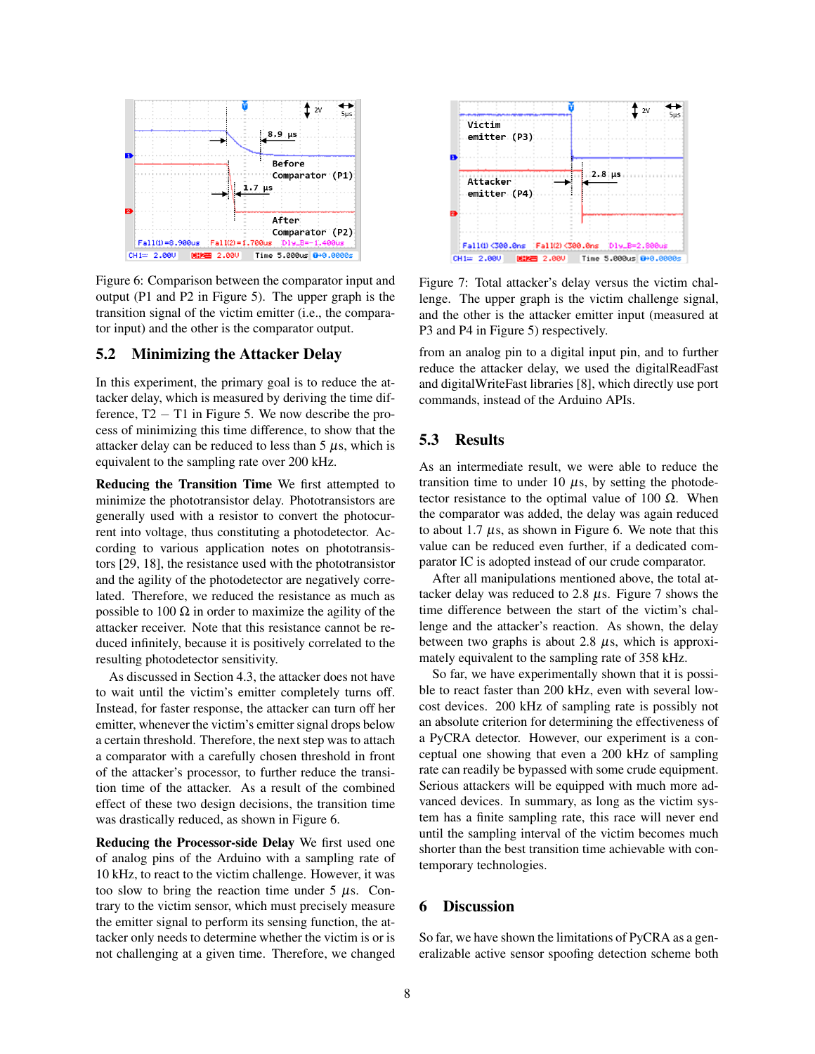

Figure 6: Comparison between the comparator input and output (P1 and P2 in Figure 5). The upper graph is the transition signal of the victim emitter (i.e., the comparator input) and the other is the comparator output.

## 5.2 Minimizing the Attacker Delay

In this experiment, the primary goal is to reduce the attacker delay, which is measured by deriving the time difference,  $T2 - T1$  in Figure 5. We now describe the process of minimizing this time difference, to show that the attacker delay can be reduced to less than  $5 \mu s$ , which is equivalent to the sampling rate over 200 kHz.

Reducing the Transition Time We first attempted to minimize the phototransistor delay. Phototransistors are generally used with a resistor to convert the photocurrent into voltage, thus constituting a photodetector. According to various application notes on phototransistors [29, 18], the resistance used with the phototransistor and the agility of the photodetector are negatively correlated. Therefore, we reduced the resistance as much as possible to 100  $\Omega$  in order to maximize the agility of the attacker receiver. Note that this resistance cannot be reduced infinitely, because it is positively correlated to the resulting photodetector sensitivity.

As discussed in Section 4.3, the attacker does not have to wait until the victim's emitter completely turns off. Instead, for faster response, the attacker can turn off her emitter, whenever the victim's emitter signal drops below a certain threshold. Therefore, the next step was to attach a comparator with a carefully chosen threshold in front of the attacker's processor, to further reduce the transition time of the attacker. As a result of the combined effect of these two design decisions, the transition time was drastically reduced, as shown in Figure 6.

Reducing the Processor-side Delay We first used one of analog pins of the Arduino with a sampling rate of 10 kHz, to react to the victim challenge. However, it was too slow to bring the reaction time under  $5 \mu s$ . Contrary to the victim sensor, which must precisely measure the emitter signal to perform its sensing function, the attacker only needs to determine whether the victim is or is not challenging at a given time. Therefore, we changed



Figure 7: Total attacker's delay versus the victim challenge. The upper graph is the victim challenge signal, and the other is the attacker emitter input (measured at P3 and P4 in Figure 5) respectively.

from an analog pin to a digital input pin, and to further reduce the attacker delay, we used the digitalReadFast and digitalWriteFast libraries [8], which directly use port commands, instead of the Arduino APIs.

# 5.3 Results

As an intermediate result, we were able to reduce the transition time to under 10  $\mu$ s, by setting the photodetector resistance to the optimal value of 100  $Ω$ . When the comparator was added, the delay was again reduced to about 1.7  $\mu$ s, as shown in Figure 6. We note that this value can be reduced even further, if a dedicated comparator IC is adopted instead of our crude comparator.

After all manipulations mentioned above, the total attacker delay was reduced to 2.8  $\mu$ s. Figure 7 shows the time difference between the start of the victim's challenge and the attacker's reaction. As shown, the delay between two graphs is about 2.8  $\mu$ s, which is approximately equivalent to the sampling rate of 358 kHz.

So far, we have experimentally shown that it is possible to react faster than 200 kHz, even with several lowcost devices. 200 kHz of sampling rate is possibly not an absolute criterion for determining the effectiveness of a PyCRA detector. However, our experiment is a conceptual one showing that even a 200 kHz of sampling rate can readily be bypassed with some crude equipment. Serious attackers will be equipped with much more advanced devices. In summary, as long as the victim system has a finite sampling rate, this race will never end until the sampling interval of the victim becomes much shorter than the best transition time achievable with contemporary technologies.

## 6 Discussion

So far, we have shown the limitations of PyCRA as a generalizable active sensor spoofing detection scheme both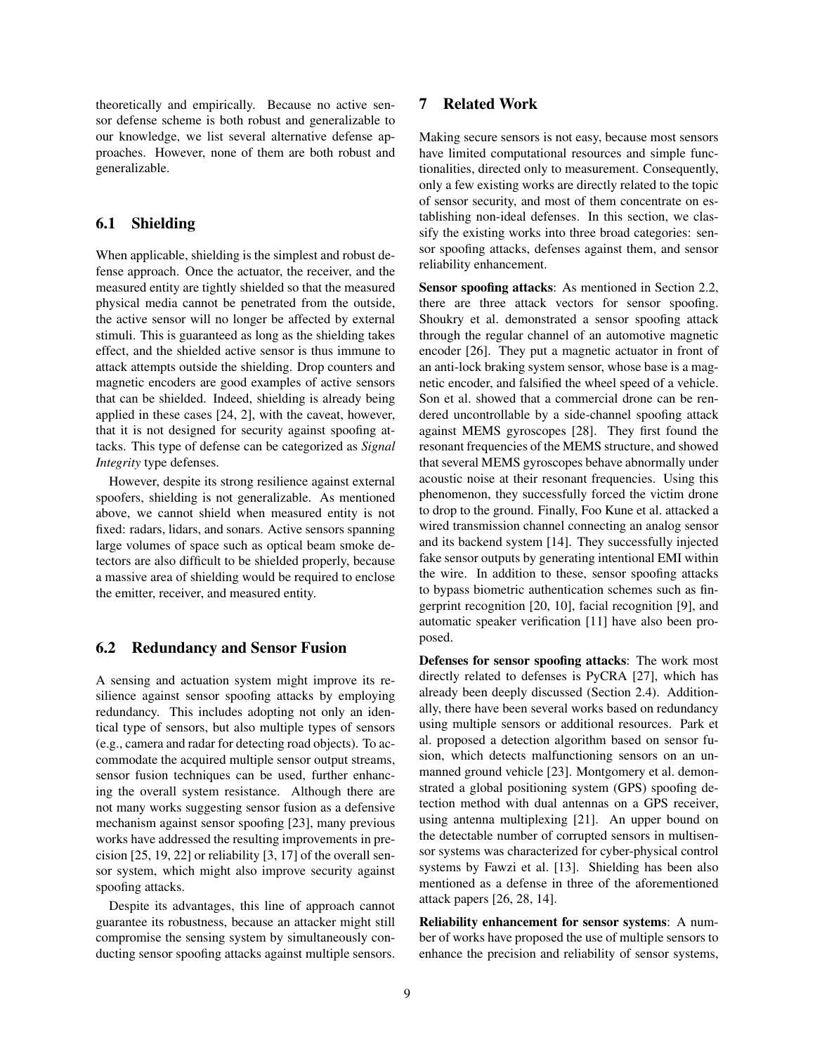theoretically and empirically. Because no active sensor defense scheme is both robust and generalizable to our knowledge, we list several alternative defense approaches. However, none of them are both robust and generalizable.

### 6.1 Shielding

When applicable, shielding is the simplest and robust defense approach. Once the actuator, the receiver, and the measured entity are tightly shielded so that the measured physical media cannot be penetrated from the outside, the active sensor will no longer be affected by external stimuli. This is guaranteed as long as the shielding takes effect, and the shielded active sensor is thus immune to attack attempts outside the shielding. Drop counters and magnetic encoders are good examples of active sensors that can be shielded. Indeed, shielding is already being applied in these cases [24, 2], with the caveat, however, that it is not designed for security against spoofing attacks. This type of defense can be categorized as *Signal Integrity* type defenses.

However, despite its strong resilience against external spoofers, shielding is not generalizable. As mentioned above, we cannot shield when measured entity is not fixed: radars, lidars, and sonars. Active sensors spanning large volumes of space such as optical beam smoke detectors are also difficult to be shielded properly, because a massive area of shielding would be required to enclose the emitter, receiver, and measured entity.

### 6.2 Redundancy and Sensor Fusion

A sensing and actuation system might improve its resilience against sensor spoofing attacks by employing redundancy. This includes adopting not only an identical type of sensors, but also multiple types of sensors (e.g., camera and radar for detecting road objects). To accommodate the acquired multiple sensor output streams, sensor fusion techniques can be used, further enhancing the overall system resistance. Although there are not many works suggesting sensor fusion as a defensive mechanism against sensor spoofing [23], many previous works have addressed the resulting improvements in precision [25, 19, 22] or reliability [3, 17] of the overall sensor system, which might also improve security against spoofing attacks.

Despite its advantages, this line of approach cannot guarantee its robustness, because an attacker might still compromise the sensing system by simultaneously conducting sensor spoofing attacks against multiple sensors.

# 7 Related Work

Making secure sensors is not easy, because most sensors have limited computational resources and simple functionalities, directed only to measurement. Consequently, only a few existing works are directly related to the topic of sensor security, and most of them concentrate on establishing non-ideal defenses. In this section, we classify the existing works into three broad categories: sensor spoofing attacks, defenses against them, and sensor reliability enhancement.

Sensor spoofing attacks: As mentioned in Section 2.2, there are three attack vectors for sensor spoofing. Shoukry et al. demonstrated a sensor spoofing attack through the regular channel of an automotive magnetic encoder [26]. They put a magnetic actuator in front of an anti-lock braking system sensor, whose base is a magnetic encoder, and falsified the wheel speed of a vehicle. Son et al. showed that a commercial drone can be rendered uncontrollable by a side-channel spoofing attack against MEMS gyroscopes [28]. They first found the resonant frequencies of the MEMS structure, and showed that several MEMS gyroscopes behave abnormally under acoustic noise at their resonant frequencies. Using this phenomenon, they successfully forced the victim drone to drop to the ground. Finally, Foo Kune et al. attacked a wired transmission channel connecting an analog sensor and its backend system [14]. They successfully injected fake sensor outputs by generating intentional EMI within the wire. In addition to these, sensor spoofing attacks to bypass biometric authentication schemes such as fingerprint recognition [20, 10], facial recognition [9], and automatic speaker verification [11] have also been proposed.

Defenses for sensor spoofing attacks: The work most directly related to defenses is PyCRA [27], which has already been deeply discussed (Section 2.4). Additionally, there have been several works based on redundancy using multiple sensors or additional resources. Park et al. proposed a detection algorithm based on sensor fusion, which detects malfunctioning sensors on an unmanned ground vehicle [23]. Montgomery et al. demonstrated a global positioning system (GPS) spoofing detection method with dual antennas on a GPS receiver, using antenna multiplexing [21]. An upper bound on the detectable number of corrupted sensors in multisensor systems was characterized for cyber-physical control systems by Fawzi et al. [13]. Shielding has been also mentioned as a defense in three of the aforementioned attack papers [26, 28, 14].

Reliability enhancement for sensor systems: A number of works have proposed the use of multiple sensors to enhance the precision and reliability of sensor systems,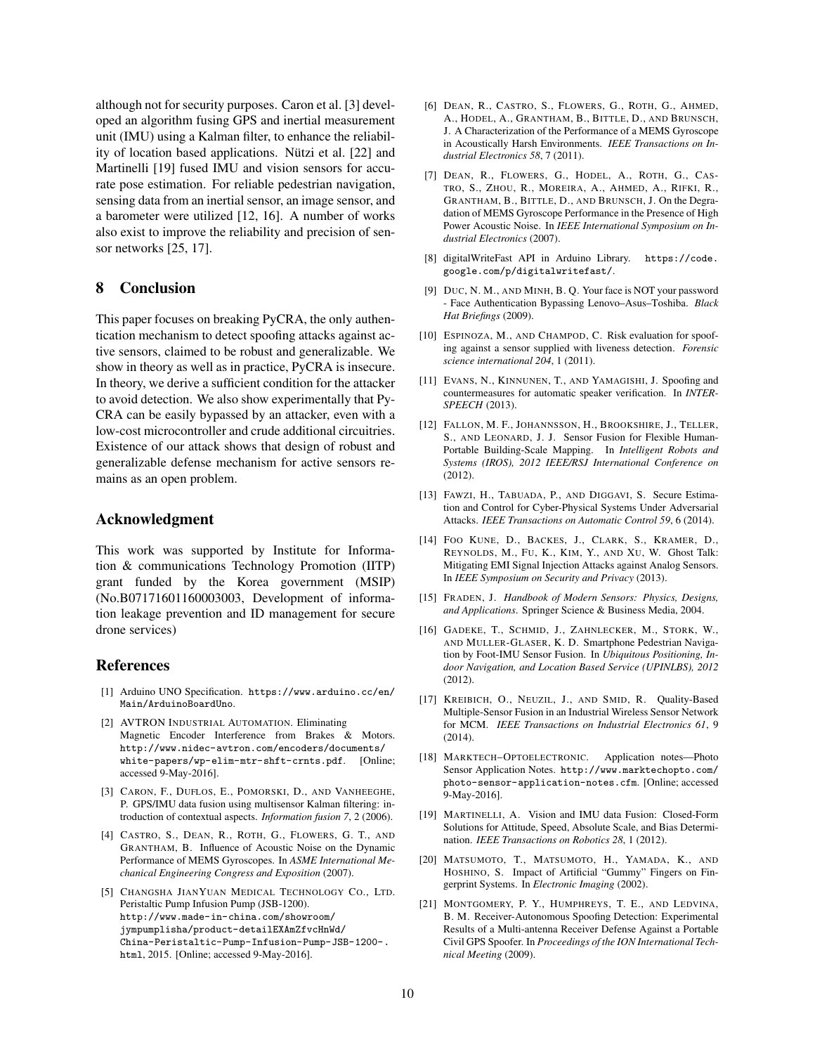although not for security purposes. Caron et al. [3] developed an algorithm fusing GPS and inertial measurement unit (IMU) using a Kalman filter, to enhance the reliability of location based applications. Nützi et al. [22] and Martinelli [19] fused IMU and vision sensors for accurate pose estimation. For reliable pedestrian navigation, sensing data from an inertial sensor, an image sensor, and a barometer were utilized [12, 16]. A number of works also exist to improve the reliability and precision of sensor networks [25, 17].

### 8 Conclusion

This paper focuses on breaking PyCRA, the only authentication mechanism to detect spoofing attacks against active sensors, claimed to be robust and generalizable. We show in theory as well as in practice, PyCRA is insecure. In theory, we derive a sufficient condition for the attacker to avoid detection. We also show experimentally that Py-CRA can be easily bypassed by an attacker, even with a low-cost microcontroller and crude additional circuitries. Existence of our attack shows that design of robust and generalizable defense mechanism for active sensors remains as an open problem.

## Acknowledgment

This work was supported by Institute for Information & communications Technology Promotion (IITP) grant funded by the Korea government (MSIP) (No.B07171601160003003, Development of information leakage prevention and ID management for secure drone services)

## References

- [1] Arduino UNO Specification. https://www.arduino.cc/en/ Main/ArduinoBoardUno.
- [2] AVTRON INDUSTRIAL AUTOMATION. Eliminating Magnetic Encoder Interference from Brakes & Motors. http://www.nidec-avtron.com/encoders/documents/ white-papers/wp-elim-mtr-shft-crnts.pdf. [Online; accessed 9-May-2016].
- [3] CARON, F., DUFLOS, E., POMORSKI, D., AND VANHEEGHE, P. GPS/IMU data fusion using multisensor Kalman filtering: introduction of contextual aspects. *Information fusion 7*, 2 (2006).
- [4] CASTRO, S., DEAN, R., ROTH, G., FLOWERS, G. T., AND GRANTHAM, B. Influence of Acoustic Noise on the Dynamic Performance of MEMS Gyroscopes. In *ASME International Mechanical Engineering Congress and Exposition* (2007).
- [5] CHANGSHA JIANYUAN MEDICAL TECHNOLOGY CO., LTD. Peristaltic Pump Infusion Pump (JSB-1200). http://www.made-in-china.com/showroom/ jympumplisha/product-detailEXAmZfvcHnWd/ China-Peristaltic-Pump-Infusion-Pump-JSB-1200-. html, 2015. [Online; accessed 9-May-2016].
- [6] DEAN, R., CASTRO, S., FLOWERS, G., ROTH, G., AHMED, A., HODEL, A., GRANTHAM, B., BITTLE, D., AND BRUNSCH, J. A Characterization of the Performance of a MEMS Gyroscope in Acoustically Harsh Environments. *IEEE Transactions on Industrial Electronics 58*, 7 (2011).
- [7] DEAN, R., FLOWERS, G., HODEL, A., ROTH, G., CAS-TRO, S., ZHOU, R., MOREIRA, A., AHMED, A., RIFKI, R., GRANTHAM, B., BITTLE, D., AND BRUNSCH, J. On the Degradation of MEMS Gyroscope Performance in the Presence of High Power Acoustic Noise. In *IEEE International Symposium on Industrial Electronics* (2007).
- [8] digitalWriteFast API in Arduino Library. https://code. google.com/p/digitalwritefast/.
- [9] DUC, N. M., AND MINH, B. Q. Your face is NOT your password - Face Authentication Bypassing Lenovo–Asus–Toshiba. *Black Hat Briefings* (2009).
- [10] ESPINOZA, M., AND CHAMPOD, C. Risk evaluation for spoofing against a sensor supplied with liveness detection. *Forensic science international 204*, 1 (2011).
- [11] EVANS, N., KINNUNEN, T., AND YAMAGISHI, J. Spoofing and countermeasures for automatic speaker verification. In *INTER-SPEECH* (2013).
- [12] FALLON, M. F., JOHANNSSON, H., BROOKSHIRE, J., TELLER, S., AND LEONARD, J. J. Sensor Fusion for Flexible Human-Portable Building-Scale Mapping. In *Intelligent Robots and Systems (IROS), 2012 IEEE/RSJ International Conference on* (2012).
- [13] FAWZI, H., TABUADA, P., AND DIGGAVI, S. Secure Estimation and Control for Cyber-Physical Systems Under Adversarial Attacks. *IEEE Transactions on Automatic Control 59*, 6 (2014).
- [14] FOO KUNE, D., BACKES, J., CLARK, S., KRAMER, D., REYNOLDS, M., FU, K., KIM, Y., AND XU, W. Ghost Talk: Mitigating EMI Signal Injection Attacks against Analog Sensors. In *IEEE Symposium on Security and Privacy* (2013).
- [15] FRADEN, J. *Handbook of Modern Sensors: Physics, Designs, and Applications*. Springer Science & Business Media, 2004.
- [16] GADEKE, T., SCHMID, J., ZAHNLECKER, M., STORK, W., AND MULLER-GLASER, K. D. Smartphone Pedestrian Navigation by Foot-IMU Sensor Fusion. In *Ubiquitous Positioning, Indoor Navigation, and Location Based Service (UPINLBS), 2012* (2012).
- [17] KREIBICH, O., NEUZIL, J., AND SMID, R. Quality-Based Multiple-Sensor Fusion in an Industrial Wireless Sensor Network for MCM. *IEEE Transactions on Industrial Electronics 61*, 9 (2014).
- [18] MARKTECH–OPTOELECTRONIC. Application notes—Photo Sensor Application Notes. http://www.marktechopto.com/ photo-sensor-application-notes.cfm. [Online; accessed 9-May-2016].
- [19] MARTINELLI, A. Vision and IMU data Fusion: Closed-Form Solutions for Attitude, Speed, Absolute Scale, and Bias Determination. *IEEE Transactions on Robotics 28*, 1 (2012).
- [20] MATSUMOTO, T., MATSUMOTO, H., YAMADA, K., AND HOSHINO, S. Impact of Artificial "Gummy" Fingers on Fingerprint Systems. In *Electronic Imaging* (2002).
- [21] MONTGOMERY, P. Y., HUMPHREYS, T. E., AND LEDVINA, B. M. Receiver-Autonomous Spoofing Detection: Experimental Results of a Multi-antenna Receiver Defense Against a Portable Civil GPS Spoofer. In *Proceedings of the ION International Technical Meeting* (2009).